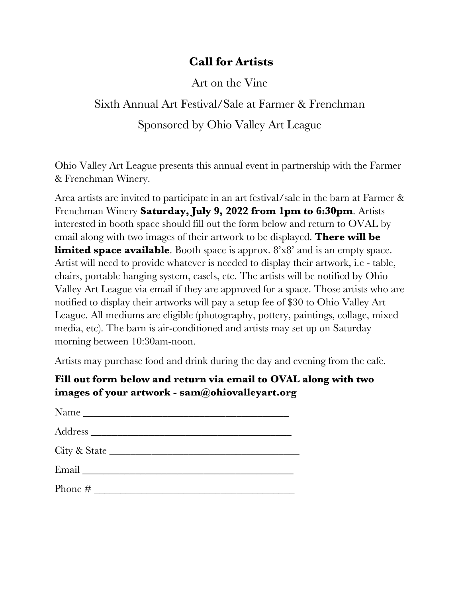## **Call for Artists**

Art on the Vine

## Sixth Annual Art Festival/Sale at Farmer & Frenchman Sponsored by Ohio Valley Art League

Ohio Valley Art League presents this annual event in partnership with the Farmer & Frenchman Winery.

Area artists are invited to participate in an art festival/sale in the barn at Farmer & Frenchman Winery **Saturday, July 9, 2022 from 1pm to 6:30pm**. Artists interested in booth space should fill out the form below and return to OVAL by email along with two images of their artwork to be displayed. **There will be limited space available**. Booth space is approx. 8'x8' and is an empty space. Artist will need to provide whatever is needed to display their artwork, i.e - table, chairs, portable hanging system, easels, etc. The artists will be notified by Ohio Valley Art League via email if they are approved for a space. Those artists who are notified to display their artworks will pay a setup fee of \$30 to Ohio Valley Art League. All mediums are eligible (photography, pottery, paintings, collage, mixed media, etc). The barn is air-conditioned and artists may set up on Saturday morning between 10:30am-noon.

Artists may purchase food and drink during the day and evening from the cafe.

## **Fill out form below and return via email to OVAL along with two images of your artwork - sam@ohiovalleyart.org**

| $Name \_$    |
|--------------|
|              |
| City & State |
|              |
| Phone $\#$   |